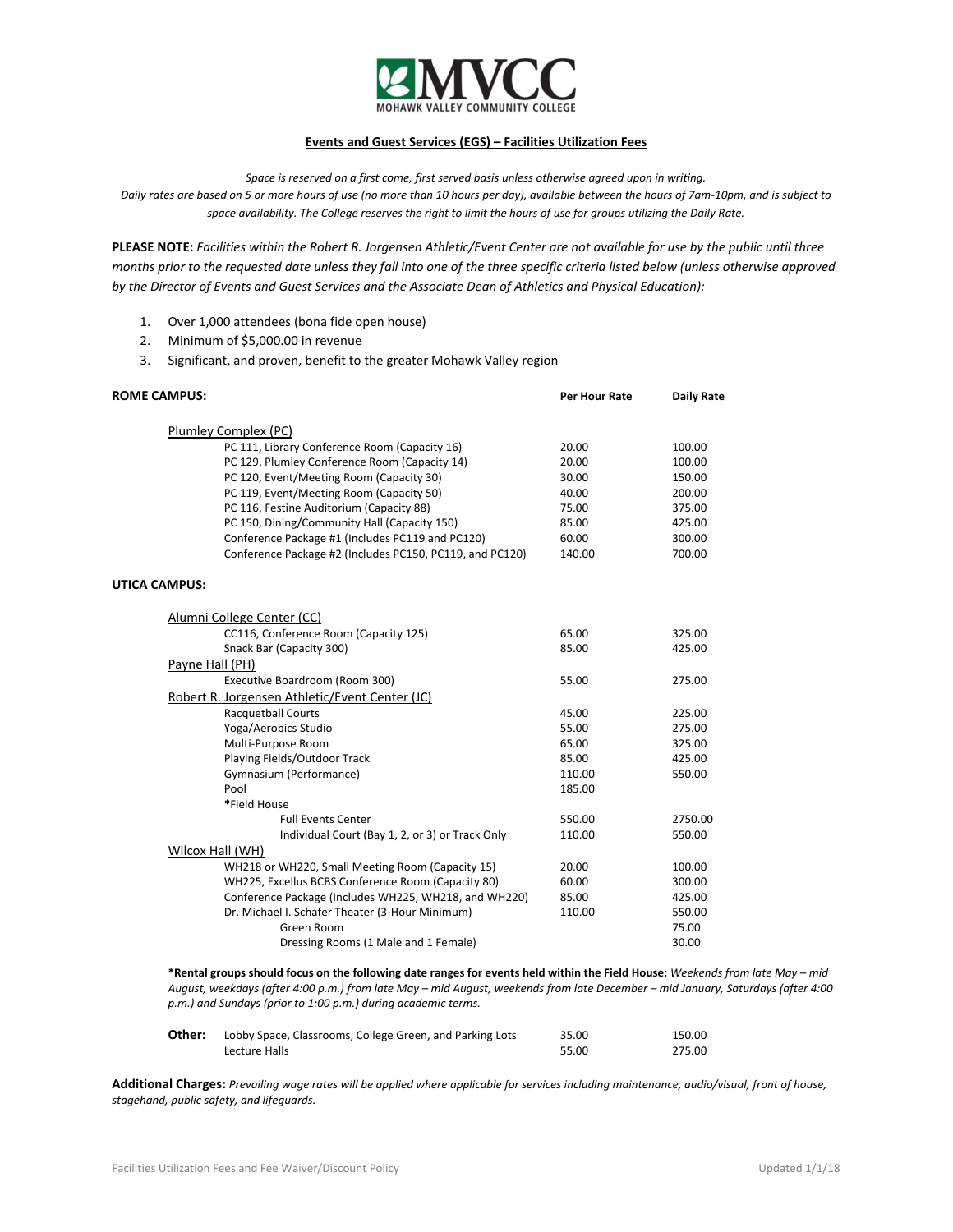

# **Events and Guest Services (EGS) – Facilities Utilization Fees**

*Space is reserved on a first come, first served basis unless otherwise agreed upon in writing.*

*Daily rates are based on 5 or more hours of use (no more than 10 hours per day), available between the hours of 7am-10pm, and is subject to space availability. The College reserves the right to limit the hours of use for groups utilizing the Daily Rate.*

**PLEASE NOTE:** *Facilities within the Robert R. Jorgensen Athletic/Event Center are not available for use by the public until three months prior to the requested date unless they fall into one of the three specific criteria listed below (unless otherwise approved by the Director of Events and Guest Services and the Associate Dean of Athletics and Physical Education):*

- 1. Over 1,000 attendees (bona fide open house)
- 2. Minimum of \$5,000.00 in revenue
- 3. Significant, and proven, benefit to the greater Mohawk Valley region

| <b>ROME CAMPUS:</b>        |                                                          | <b>Per Hour Rate</b> | <b>Daily Rate</b> |
|----------------------------|----------------------------------------------------------|----------------------|-------------------|
| Plumley Complex (PC)       |                                                          |                      |                   |
|                            | PC 111, Library Conference Room (Capacity 16)            | 20.00                | 100.00            |
|                            | PC 129, Plumley Conference Room (Capacity 14)            | 20.00                | 100.00            |
|                            | PC 120, Event/Meeting Room (Capacity 30)                 | 30.00                | 150.00            |
|                            | PC 119, Event/Meeting Room (Capacity 50)                 | 40.00                | 200.00            |
|                            | PC 116, Festine Auditorium (Capacity 88)                 | 75.00                | 375.00            |
|                            | PC 150, Dining/Community Hall (Capacity 150)             | 85.00                | 425.00            |
|                            | Conference Package #1 (Includes PC119 and PC120)         | 60.00                | 300.00            |
|                            | Conference Package #2 (Includes PC150, PC119, and PC120) | 140.00               | 700.00            |
| <b>UTICA CAMPUS:</b>       |                                                          |                      |                   |
| Alumni College Center (CC) |                                                          |                      |                   |
|                            | CC116, Conference Room (Capacity 125)                    | 65.00                | 325.00            |
|                            | Snack Bar (Capacity 300)                                 | 85.00                | 425.00            |
| Payne Hall (PH)            |                                                          |                      |                   |
|                            | Executive Boardroom (Room 300)                           | 55.00                | 275.00            |
|                            | Robert R. Jorgensen Athletic/Event Center (JC)           |                      |                   |
|                            | Racquetball Courts                                       | 45.00                | 225.00            |
|                            | Yoga/Aerobics Studio                                     | 55.00                | 275.00            |
|                            | Multi-Purpose Room                                       | 65.00                | 325.00            |
|                            | Playing Fields/Outdoor Track                             | 85.00                | 425.00            |
|                            | Gymnasium (Performance)                                  | 110.00               | 550.00            |
| Pool                       |                                                          | 185.00               |                   |
| *Field House               |                                                          |                      |                   |
|                            | <b>Full Events Center</b>                                | 550.00               | 2750.00           |
|                            | Individual Court (Bay 1, 2, or 3) or Track Only          | 110.00               | 550.00            |
| Wilcox Hall (WH)           |                                                          |                      |                   |
|                            | WH218 or WH220, Small Meeting Room (Capacity 15)         | 20.00                | 100.00            |
|                            | WH225, Excellus BCBS Conference Room (Capacity 80)       | 60.00                | 300.00            |
|                            | Conference Package (Includes WH225, WH218, and WH220)    | 85.00                | 425.00            |
|                            | Dr. Michael I. Schafer Theater (3-Hour Minimum)          | 110.00               | 550.00            |
|                            | Green Room                                               |                      | 75.00             |
|                            | Dressing Rooms (1 Male and 1 Female)                     |                      | 30.00             |

**\*Rental groups should focus on the following date ranges for events held within the Field House:** *Weekends from late May – mid August, weekdays (after 4:00 p.m.) from late May – mid August, weekends from late December – mid January, Saturdays (after 4:00 p.m.) and Sundays (prior to 1:00 p.m.) during academic terms.*

| Other: | Lobby Space, Classrooms, College Green, and Parking Lots | 35.00 | 150.00 |
|--------|----------------------------------------------------------|-------|--------|
|        | Lecture Halls                                            | 55.00 | 275.00 |

**Additional Charges:** *Prevailing wage rates will be applied where applicable for services including maintenance, audio/visual, front of house, stagehand, public safety, and lifeguards.*